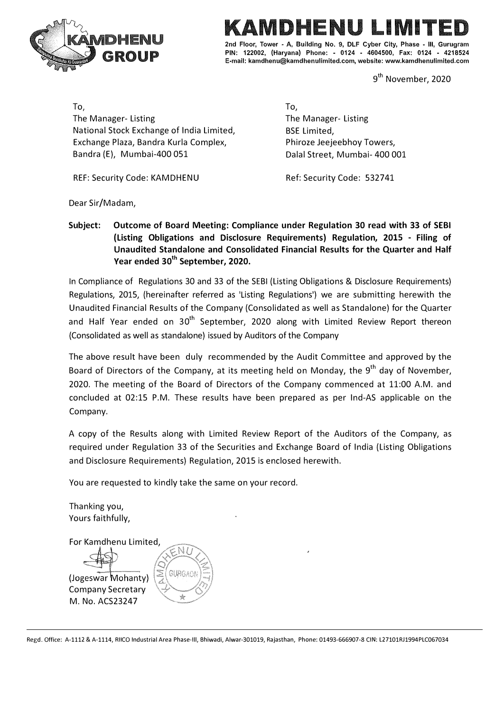

# **CONDHENU** 2nd Floor, Tower - A, Building No. 9, DLF Cyber City, Phase - III, Gurugram

**PIN: 122002, (Haryana) Phone: - 0124 • 4604500, Fax: 0124 - 4218524 E-mail: kamdhenu@kamdhenulimited.com, website: www.kamdhenulimited.com** 

9<sup>th</sup> November, 2020

To, The Manager- Listing National Stock Exchange of India Limited, Exchange Plaza, Bandra Kurla Complex, Bandra {E), Mumbai-400 051

REF: Security Code: KAMDHENU

To, The Manager- Listing BSE Limited, Phiroze Jeejeebhoy Towers, Dalal Street, Mumbai- 400 001

Ref: Security Code: 532741

Dear Sir/Madam,

**Subject: Outcome of Board Meeting: Compliance under Regulation 30 read with 33 of SEBI (Listing Obligations and Disclosure Requirements) Regulation, 2015 - Filing of Unaudited Standalone and Consolidated Financial Results for the Quarter and Half Year ended 30th September, 2020.** 

In Compliance of Regulations 30 and 33 of the SEBI {Listing Obligations & Disclosure Requirements) Regulations, 2015, {hereinafter referred as 'Listing Regulations') we are submitting herewith the Unaudited Financial Results of the Company {Consolidated as well as Standalone) for the Quarter and Half Year ended on 30<sup>th</sup> September, 2020 along with Limited Review Report thereon {Consolidated as well as standalone) issued by Auditors of the Company

The above result have been duly recommended by the Audit Committee and approved by the Board of Directors of the Company, at its meeting held on Monday, the 9<sup>th</sup> day of November, 2020. The meeting of the Board of Directors of the Company commenced at 11:00 A.M. and concluded at 02:15 P.M. These results have been prepared as per Ind-AS applicable on the Company.

A copy of the Results along with Limited Review Report of the Auditors of the Company, as required under Regulation 33 of the Securities and Exchange Board of India {Listing Obligations and Disclosure Requirements) Regulation, 2015 is enclosed herewith.

You are requested to kindly take the same on your record.

Thanking you, Yours faithfully, For Kamdhenu Limited, GURGAO (Jogeswar Mohanty) Company Secretary M. No. ACS23247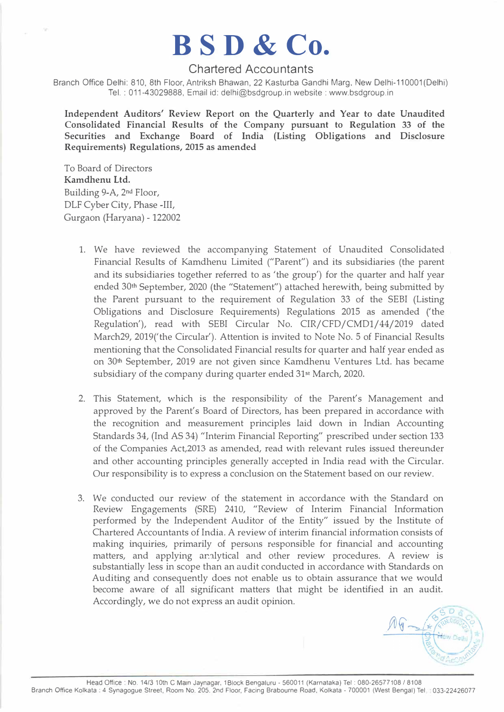## **BSD & Co.**

### Chartered Accountants

Branch Office Delhi: 810, 8th Floor, Antriksh Bhawan, 22 Kasturba Gandhi Marg, New Delhi-110001(Delhi) Tel. : 011-43029888, Email id: delhi@bsdgroup.in website:www.bsdgroup.in

**Independent Auditors' Review Report on the Quarterly and Year to date Unaudited Consolidated Financial Results of the Company pursuant to Regulation 33 of the Securities and Exchange Board of India (Listing Obligations and Disclosure Requirements) Regulations, 2015 as amended** 

To Board of Directors **Kamdhenu Ltd.**  Building 9-A, 2nd Floor, DLF Cyber City, Phase -III, Gurgaon (Haryana)-122002

- 1. We have reviewed the accompanying Statement of Unaudited Consolidated Financial Results of Kamdhenu Limited ("Parent") and its subsidiaries (the parent and its subsidiaries together referred to as 'the group') for the quarter and half year ended 30th September, 2020 (the "Statement") attached herewith, being submitted by the Parent pursuant to the requirement of Regulation 33 of the SEBI (Listing Obligations and Disclosure Requirements) Regulations 2015 as amended ('the Regulation'), read with SEBI Circular No. CIR/CFD/CMD1/44/2019 dated March29, 2019('the Circular'). Attention is invited to Note No. 5 of Financial Results mentioning that the Consolidated Financial results for quarter and half year ended as on 30<sup>th</sup> September, 2019 are not given since Kamdhenu Ventures Ltd. has became subsidiary of the company during quarter ended 31st March, 2020.
- 2. This Statement, which is the responsibility of the Parent's Management and approved by the Parent's Board of Directors, has been prepared in accordance with the recognition and measurement principles laid down in Indian Accounting Standards 34, (Ind AS 34) "Interim Financial Reporting" prescribed under section 133 of the Companies Act,2013 as amended, read with relevant rules issued thereunder and other accounting principles generally accepted in India read with the Circular. Our responsibility is to express a conclusion on the Statement based on our review.
- 3. We conducted our review of the statement in accordance with the Standard on Review Engagements (SRE) 2410, "Review of Interim Financial Information performed by the Independent Auditor of the Entity" issued by the Institute of Chartered Accountants of India. A review of interim financial information consists of making inquiries, primarily of persons responsible for financial and accounting matters, and applying analytical and other review procedures. A review is substantially less in scope than an audit conducted in accordance with Standards on Auditing and consequently does not enable us to obtain assurance that we would become aware of all significant matters that might be identified in an audit. Accordingly, we do not express an audit opinion.

 $A \nsubseteq \frac{25 \text{ D.3}}{4}$ . ·� **I** recounted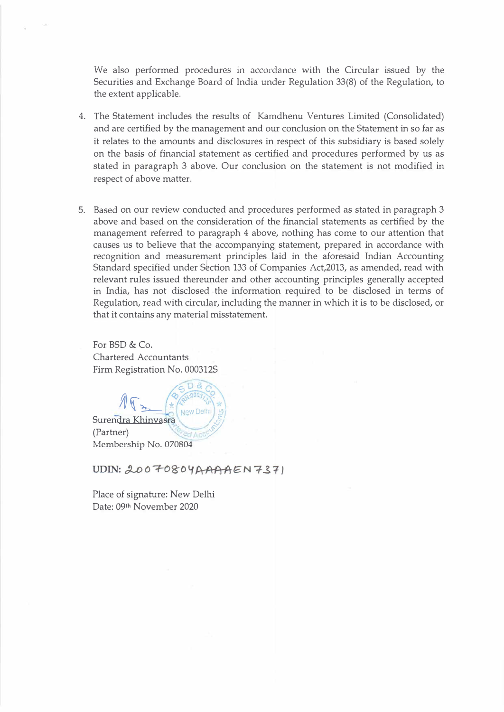We also performed procedures in accordance with the Circular issued by the Securities and Exchange Board of lndia under Regulation 33(8) of the Regulation, to the extent applicable.

- 4. The Statement includes the results of Kamdhenu Ventures Limited (Consolidated) and are certified by the management and our conclusion on the Statement in so far as it relates to the amounts and disclosures in respect of this subsidiary is based solely on the basis of financial statement as certified and procedures performed by us as stated in paragraph 3 above. Our conclusion on the statement is not modified in respect of above matter.
- 5. Based on our review conducted and procedures performed as stated in paragraph 3 above and based on the consideration of the financial statements as certified by the management referred to paragraph 4 above, nothing has come to our attention that causes us to believe that the accompanying statement, prepared in accordance with recognition and measurement principles laid in the aforesaid Indian Accounting Standard specified under Section 133 of Companies Act,2013, as amended, read with relevant rules issued thereunder and other accounting principles generally accepted in India, has not disclosed the information required to be disclosed in terms of Regulation, read with circular, including the manner in which it is to be disclosed, or that it contains any material misstatement.

For  $BSD & Co.$ Chartered Accountants Firm Registration No. 0003125



UDIN: 20070804AAAAEN7371

Place of signature: New Delhi Date: 09th November 2020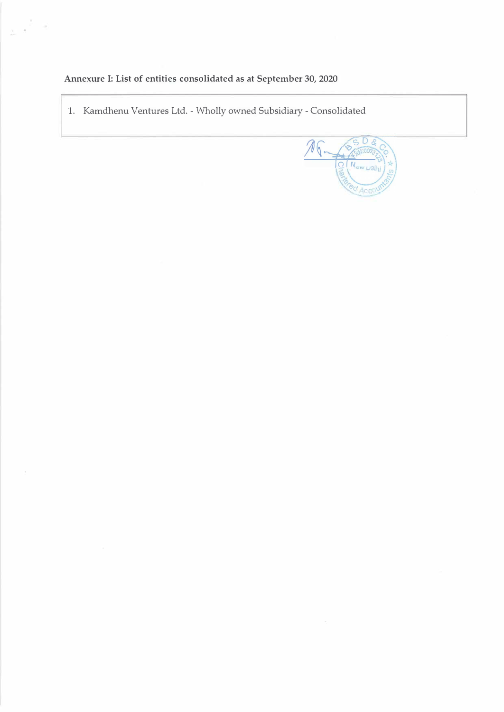## Annexure I: List of entities consolidated as at September 30, 2020

 $\frac{1}{2\pi}$  ,  $\frac{1}{2}$  ,  $\frac{1}{2}$ 

1. Kamdhenu Ventures Ltd. - Wholly owned Subsidiary - Consolidated

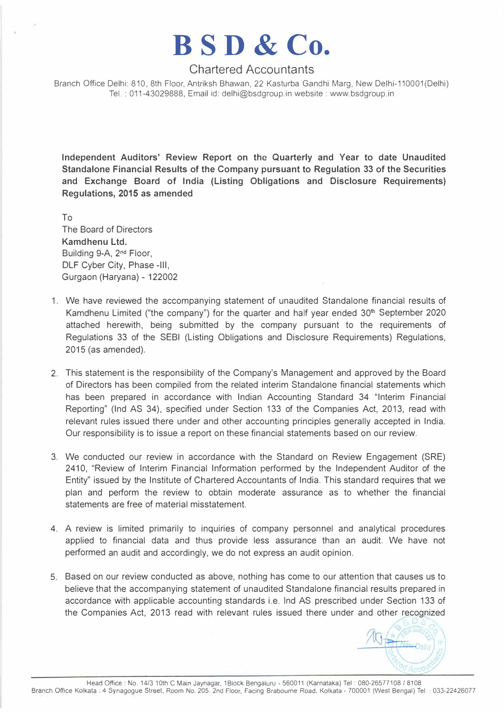## **BSD & Co.**

### Chartered Accountants

Branch Office Delhi: 810, 8th Floor, Antriksh Bhawan, 22 Kasturba Gandhi Marg, New Delhi-110001(Delhi) Tel.: 011-43029888, Email id: delhi@bsdgroup.in website : www.bsdgroup.in

**Independent Auditors' Review Report on the Quarterly and Year to date Unaudited Standalone Financial Results of the Company pursuant to Regulation 33 of the Securities and Exchange Board of India (Listing Obligations and Disclosure Requirements) Regulations, 2015 as amended** 

To The Board of Directors **Kamdhenu Ltd.**  Building 9-A, 2<sup>nd</sup> Floor, DLF Cyber City, Phase -111, Gurgaon (Haryana) - 122002

- 1. We have reviewed the accompanying statement of unaudited Standalone financial results of Kamdhenu Limited ("the company") for the quarter and half year ended  $30<sup>th</sup>$  September 2020 attached herewith, being submitted by the company pursuant to the requirements of Regulations 33 of the SEBI (Listing Obligations and Disclosure Requirements) Regulations, 2015 (as amended).
- 2. This statement is the responsibility of the Company's Management and approved by the Board of Directors has been compiled from the related interim Standalone financial statements which has been prepared in accordance with Indian Accounting Standard 34 "Interim Financial Reporting" (Ind AS 34), specified under Section 133 of the Companies Act, 2013, read with relevant rules issued there under and other accounting principles generally accepted in India. Our responsibility is to issue a report on these financial statements based on our review.
- 3. We conducted our review in accordance with the Standard on Review Engagement (SRE) 2410, "Review of Interim Financial Information performed by the Independent Auditor of the Entity" issued by the Institute of Chartered Accountants of India. This standard requires that we plan and perform the review to obtain moderate assurance as to whether the financial statements are free of material misstatement.
- 4. A review is limited primarily to inquiries of company personnel and analytical procedures applied to financial data and thus provide less assurance than an audit. We have not performed an audit and accordingly, we do not express an audit opinion.
- 5. Based on our review conducted as above, nothing has come to our attention that causes us to believe that the accompanying statement of unaudited Standalone financial results prepared in accordance with applicable accounting standards i.e. Ind AS prescribed under Section 133 of the Companies Act, 2013 read with relevant rules issued there under and other recognized

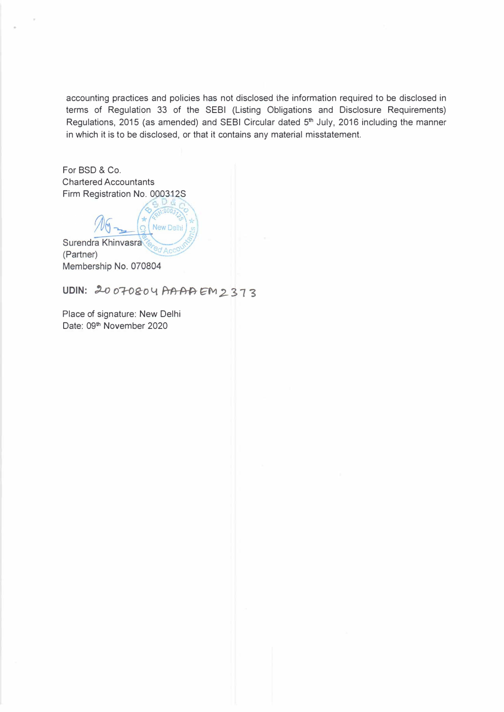accounting practices and policies has not disclosed the information required to be disclosed in terms of Regulation 33 of the SEBI (Listing Obligations and Disclosure Requirements) Regulations, 2015 (as amended) and SEBI Circular dated 5 **th** July, 2016 including the manner in which it is to be disclosed, or that it contains any material misstatement.

For BSD & Co. Chartered Accountants Firm Registration No. 000312S

New Delhi Surendra Khinvasra (Partner) Membership No. 070804

UDIN: 20070804 AAAAEM2373

Place of signature: New Delhi Date: 09**th** November 2020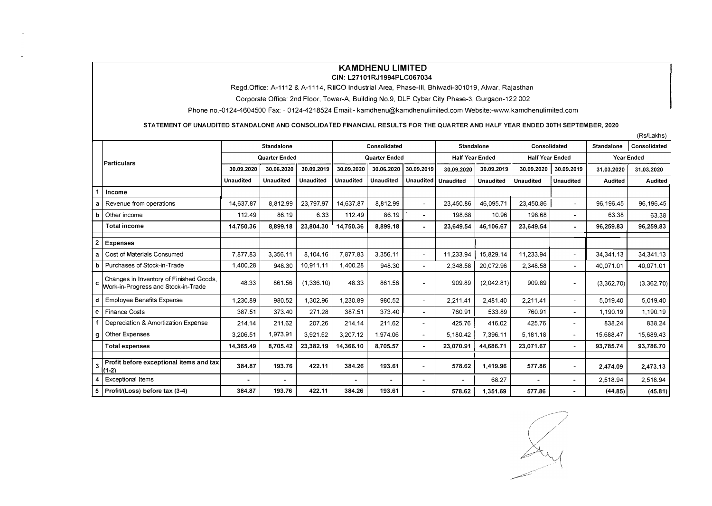#### **KAMDHENU LIMITED**

#### **GIN: L27101RJ1994PLC067034**

Regd.Office: A-1112 & A-1114, **RIICO** Industrial Area, Phase-Ill, Bhiwadi-301019, Alwar, Rajasthan

Corporate Office: 2nd Floor, Tower-A, Building No.9, DLF Cyber City Phase-3, Gurgaon-122 002

Phone no.-0124-4604500 **Fax:** - 0124-4218524 Email:-kamdhenu@kamdhenulimited.comWebsite:-www.kamdhenulimited.com

STATEMENT OF UNAUDITED STANDALONE AND CONSOLIDATED FINANCIAL RESULTS FOR THE QUARTER AND HALF YEAR ENDED 30TH SEPTEMBER, 2020

|                |                                                                                |                      |                          |                  |                      |                  |                          |                        |                  |                        |                              | $(1.37 - 2.01)$   |            |  |
|----------------|--------------------------------------------------------------------------------|----------------------|--------------------------|------------------|----------------------|------------------|--------------------------|------------------------|------------------|------------------------|------------------------------|-------------------|------------|--|
|                |                                                                                | <b>Standalone</b>    |                          |                  | Consolidated         |                  | <b>Standalone</b>        |                        | Consolidated     |                        | <b>Standalone</b>            | Consolidated      |            |  |
|                | <b>Particulars</b>                                                             | <b>Quarter Ended</b> |                          |                  | <b>Quarter Ended</b> |                  |                          | <b>Half Year Ended</b> |                  | <b>Half Year Ended</b> |                              | <b>Year Ended</b> |            |  |
|                |                                                                                | 30.09.2020           | 30.06.2020               | 30.09.2019       | 30.09.2020           | 30.06.2020       | 30.09.2019               | 30.09.2020             | 30.09.2019       | 30.09.2020             | 30.09.2019                   | 31.03.2020        | 31.03.2020 |  |
|                |                                                                                | <b>Unaudited</b>     | <b>Unaudited</b>         | <b>Unaudited</b> | <b>Unaudited</b>     | <b>Unaudited</b> | <b>Unaudited</b>         | <b>Unaudited</b>       | <b>Unaudited</b> | <b>Unaudited</b>       | <b>Unaudited</b>             | Audited           | Audited    |  |
|                | Income                                                                         |                      |                          |                  |                      |                  |                          |                        |                  |                        |                              |                   |            |  |
| a              | Revenue from operations                                                        | 14,637.87            | 8,812.99                 | 23,797.97        | 14,637.87            | 8,812.99         | $\blacksquare$           | 23.450.86              | 46.095.71        | 23,450.86              | ÷.                           | 96.196.45         | 96.196.45  |  |
| b              | Other income                                                                   | 112.49               | 86.19                    | 6.33             | 112.49               | 86.19            | $\sim$                   | 198.68                 | 10.96            | 198.68                 | $\blacksquare$               | 63.38             | 63.38      |  |
|                | <b>Total income</b>                                                            | 14.750.36            | 8,899.18                 | 23,804.30        | 14.750.36            | 8.899.18         |                          | 23,649.54              | 46.106.67        | 23,649.54              | $\blacksquare$               | 96,259.83         | 96,259.83  |  |
| $\overline{2}$ | <b>Expenses</b>                                                                |                      |                          |                  |                      |                  |                          |                        |                  |                        |                              |                   |            |  |
| a              | Cost of Materials Consumed                                                     | 7,877.83             | 3.356.11                 | 8,104.16         | 7,877.83             | 3.356.11         | ۰.                       | 11,233.94              | 15,829.14        | 11,233.94              | $\blacksquare$               | 34,341.13         | 34,341.13  |  |
| b              | Purchases of Stock-in-Trade                                                    | 1.400.28             | 948.30                   | 10,911.11        | 1,400.28             | 948.30           |                          | 2,348.58               | 20,072.96        | 2,348.58               | $\blacksquare$               | 40,071.01         | 40,071.01  |  |
| c.             | Changes in Inventory of Finished Goods,<br>Work-in-Progress and Stock-in-Trade | 48.33                | 861.56                   | (1,336.10)       | 48.33                | 861.56           | ۰                        | 909.89                 | (2,042.81)       | 909.89                 | $\blacksquare$               | (3,362.70)        | (3,362.70) |  |
| d              | <b>Employee Benefits Expense</b>                                               | 1,230.89             | 980,52                   | 1,302.96         | 1,230.89             | 980.52           | $\overline{\phantom{0}}$ | 2,211.41               | 2.481.40         | 2,211.41               | $\blacksquare$               | 5.019.40          | 5,019.40   |  |
| e              | <b>Finance Costs</b>                                                           | 387.51               | 373.40                   | 271.28           | 387.51               | 373.40           |                          | 760.91                 | 533.89           | 760.91                 | $\overline{\phantom{a}}$     | 1,190.19          | 1,190.19   |  |
|                | Depreciation & Amortization Expense                                            | 214.14               | 211.62                   | 207.26           | 214.14               | 211.62           |                          | 425.76                 | 416.02           | 425.76                 |                              | 838.24            | 838.24     |  |
| g              | Other Expenses                                                                 | 3,206.51             | 1.973.91                 | 3,921.52         | 3.207.12             | 1.974.06         |                          | 5.180.42               | 7,396.11         | 5,181.18               | $\blacksquare$               | 15.688.47         | 15,689.43  |  |
|                | <b>Total expenses</b>                                                          | 14,365.49            | 8,705.42                 | 23,382.19        | 14,366.10            | 8,705.57         | $\blacksquare$           | 23,070.91              | 44,686.71        | 23,071.67              | $\blacksquare$               | 93,785.74         | 93,786.70  |  |
|                |                                                                                |                      |                          |                  |                      |                  |                          |                        |                  |                        |                              |                   |            |  |
| $\mathbf{3}$   | Profit before exceptional items and tax<br>$(1-2)$                             | 384.87               | 193.76                   | 422.11           | 384.26               | 193.61           |                          | 578.62                 | 1,419.96         | 577.86                 | ٠                            | 2,474.09          | 2,473.13   |  |
| 4              | <b>Exceptional Items</b>                                                       |                      | $\overline{\phantom{a}}$ |                  | $\sim$               |                  | ٠                        | $\sim$                 | 68.27            |                        | $\overline{\phantom{a}}$     | 2,518.94          | 2,518.94   |  |
| 5 <sup>1</sup> | Profit/(Loss) before tax (3-4)                                                 | 384.87               | 193.76                   | 422.11           | 384.26               | 193.61           |                          | 578.62                 | 1,351.69         | 577.86                 | $\qquad \qquad \blacksquare$ | (44.85)           | (45.81)    |  |

(Rs/Lakhs)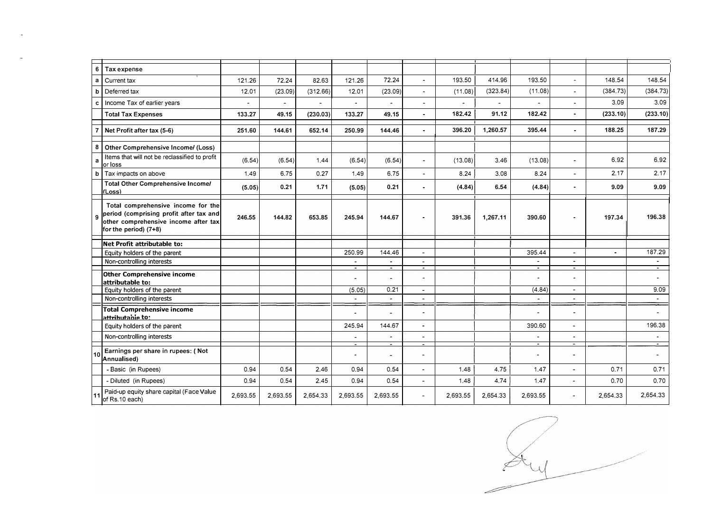| 6  | Tax expense                                                                                                                                    |          |          |          |                          |                                            |                                  |          |          |                                  |                                            |          |                |
|----|------------------------------------------------------------------------------------------------------------------------------------------------|----------|----------|----------|--------------------------|--------------------------------------------|----------------------------------|----------|----------|----------------------------------|--------------------------------------------|----------|----------------|
| a  | Current tax                                                                                                                                    | 121.26   | 72.24    | 82.63    | 121.26                   | 72.24                                      | $\overline{\phantom{0}}$         | 193.50   | 414.96   | 193.50                           | $\tilde{\phantom{a}}$                      | 148.54   | 148.54         |
| b  | Deferred tax                                                                                                                                   | 12.01    | (23.09)  | (312.66) | 12.01                    | (23.09)                                    |                                  | (11.08)  | (323.84) | (11.08)                          | $\sim$                                     | (384.73) | (384.73)       |
| c  | Income Tax of earlier years                                                                                                                    |          |          |          |                          |                                            |                                  |          |          |                                  | $\blacksquare$                             | 3.09     | 3.09           |
|    | <b>Total Tax Expenses</b>                                                                                                                      | 133.27   | 49.15    | (230.03) | 133.27                   | 49.15                                      |                                  | 182.42   | 91.12    | 182.42                           | $\blacksquare$                             | (233.10) | (233.10)       |
|    | Net Profit after tax (5-6)                                                                                                                     | 251.60   | 144.61   | 652.14   | 250.99                   | 144.46                                     |                                  | 396.20   | 1,260.57 | 395.44                           | $\blacksquare$                             | 188.25   | 187.29         |
| 8  | Other Comprehensive Income/ (Loss)                                                                                                             |          |          |          |                          |                                            |                                  |          |          |                                  |                                            |          |                |
| a  | Items that will not be reclassified to profit<br>or loss                                                                                       | (6.54)   | (6.54)   | 1.44     | (6.54)                   | (6.54)                                     | $\blacksquare$                   | (13.08)  | 3.46     | (13.08)                          | $\blacksquare$                             | 6.92     | 6.92           |
| b  | Tax impacts on above                                                                                                                           | 1.49     | 6.75     | 0.27     | 1.49                     | 6.75                                       | L.                               | 8.24     | 3.08     | 8.24                             | $\overline{a}$                             | 2.17     | 2.17           |
|    | <b>Total Other Comprehensive Income/</b><br>(Loss)                                                                                             | (5.05)   | 0.21     | 1.71     | (5.05)                   | 0.21                                       |                                  | (4.84)   | 6.54     | (4.84)                           |                                            | 9.09     | 9.09           |
|    | Total comprehensive income for the<br>period (comprising profit after tax and<br>other comprehensive income after tax<br>for the period) (7+8) | 246.55   | 144.82   | 653.85   | 245.94                   | 144.67                                     |                                  | 391.36   | 1,267.11 | 390.60                           |                                            | 197.34   | 196.38         |
|    | Net Profit attributable to:                                                                                                                    |          |          |          |                          |                                            |                                  |          |          |                                  |                                            |          |                |
|    | Equity holders of the parent                                                                                                                   |          |          |          | 250.99                   | 144.46                                     | $\mathbf{r}$                     |          |          | 395.44                           | $\mathbf{r}$                               |          | 187.29         |
|    | Non-controlling interests                                                                                                                      |          |          |          | $\blacksquare$<br>Ξ      | $\blacksquare$<br>$\blacksquare$           | $\blacksquare$<br>$\blacksquare$ |          |          | $\blacksquare$<br>$\blacksquare$ | $\overline{\phantom{a}}$<br>$\blacksquare$ |          | $\blacksquare$ |
|    | <b>Other Comprehensive income</b><br>attributable to:                                                                                          |          |          |          | $\overline{\phantom{0}}$ |                                            | ÷                                |          |          |                                  | $\blacksquare$                             |          |                |
|    | Equity holders of the parent                                                                                                                   |          |          |          | (5.05)                   | 0.21                                       | $\mathbf{r}$                     |          |          | (4.84)                           | $\blacksquare$                             |          | 9.09           |
|    | Non-controlling interests                                                                                                                      |          |          |          | $\blacksquare$           | $\overline{a}$                             | $\blacksquare$                   |          |          |                                  | $\blacksquare$                             |          | $\blacksquare$ |
|    | <b>Total Comprehensive income</b><br>attributable to:                                                                                          |          |          |          | $\overline{a}$           |                                            |                                  |          |          |                                  | $\overline{\phantom{a}}$                   |          |                |
|    | Equity holders of the parent                                                                                                                   |          |          |          | 245.94                   | 144.67                                     |                                  |          |          | 390.60                           | $\blacksquare$                             |          | 196.38         |
|    | Non-controlling interests                                                                                                                      |          |          |          | $\blacksquare$           | $\overline{a}$                             | $\blacksquare$                   |          |          | $\overline{a}$                   | $\blacksquare$                             |          |                |
| 10 | Earnings per share in rupees: (Not<br>Annualised)                                                                                              |          |          |          | $\sim$<br>$\blacksquare$ | $\overline{\phantom{a}}$<br>$\blacksquare$ | $\blacksquare$                   |          |          | $\overline{\phantom{a}}$         | $\sim$<br>$\blacksquare$                   |          | $\blacksquare$ |
|    | - Basic (in Rupees)                                                                                                                            | 0.94     | 0.54     | 2.46     | 0.94                     | 0.54                                       | $\blacksquare$                   | 1.48     | 4.75     | 1.47                             | $\blacksquare$                             | 0.71     | 0.71           |
|    | - Diluted (in Rupees)                                                                                                                          | 0.94     | 0.54     | 2.45     | 0.94                     | 0.54                                       | $\overline{a}$                   | 1.48     | 4.74     | 1.47                             | $\overline{a}$                             | 0.70     | 0.70           |
|    | Paid-up equity share capital (Face Value<br>of Rs.10 each)                                                                                     | 2,693.55 | 2,693.55 | 2,654.33 | 2,693.55                 | 2,693.55                                   |                                  | 2,693.55 | 2,654.33 | 2,693.55                         |                                            | 2,654.33 | 2,654.33       |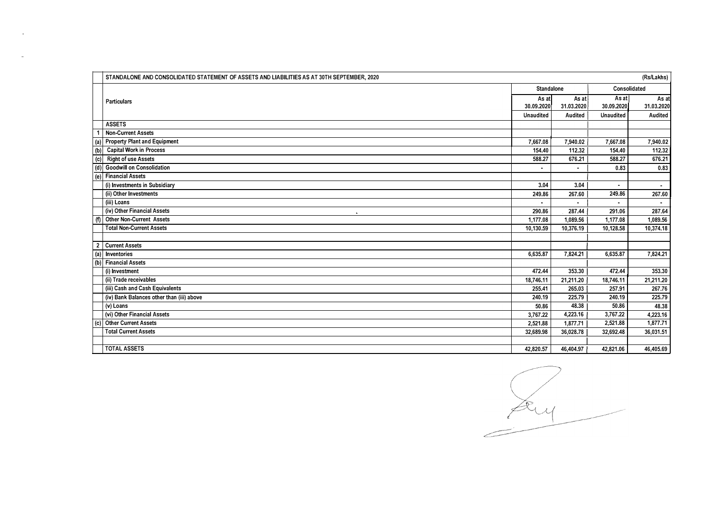|     | STANDALONE AND CONSOLIDATED STATEMENT OF ASSETS AND LIABILITIES AS AT 30TH SEPTEMBER, 2020 |                   |            |                | (Rs/Lakhs)     |
|-----|--------------------------------------------------------------------------------------------|-------------------|------------|----------------|----------------|
|     |                                                                                            | <b>Standalone</b> |            |                | Consolidated   |
|     | <b>Particulars</b>                                                                         | As at             | As at      | As at          | As at          |
|     |                                                                                            | 30.09.2020        | 31.03.2020 | 30.09.2020     | 31.03.2020     |
|     |                                                                                            | <b>Unaudited</b>  | Audited    | Unaudited      | Audited        |
|     | <b>ASSETS</b>                                                                              |                   |            |                |                |
|     | <b>Non-Current Assets</b>                                                                  |                   |            |                |                |
| (a) | <b>Property Plant and Equipment</b>                                                        | 7,667.08          | 7,940.02   | 7,667.08       | 7,940.02       |
| (b) | <b>Capital Work in Process</b>                                                             | 154.40            | 112.32     | 154.40         | 112.32         |
| (c) | <b>Right of use Assets</b>                                                                 | 588.27            | 676.21     | 588.27         | 676.21         |
| (d) | <b>Goodwill on Consolidation</b>                                                           |                   |            | 0.83           | 0.83           |
|     | (e) Financial Assets                                                                       |                   |            |                |                |
|     | (i) Investments in Subsidiary                                                              | 3.04              | 3.04       | $\blacksquare$ | $\blacksquare$ |
|     | (ii) Other Investments                                                                     | 249.86            | 267.60     | 249.86         | 267.60         |
|     | (iii) Loans                                                                                |                   |            |                |                |
|     | (iv) Other Financial Assets                                                                | 290.86            | 287.44     | 291.06         | 287.64         |
| (f) | Other Non-Current Assets                                                                   | 1,177.08          | 1.089.56   | 1,177.08       | 1,089.56       |
|     | <b>Total Non-Current Assets</b>                                                            | 10,130.59         | 10,376.19  | 10,128.58      | 10,374.18      |
|     |                                                                                            |                   |            |                |                |
| 2   | <b>Current Assets</b>                                                                      |                   |            |                |                |
| (a) | <b>Inventories</b>                                                                         | 6.635.87          | 7.824.21   | 6.635.87       | 7,824.21       |
|     | (b) Financial Assets                                                                       |                   |            |                |                |
|     | (i) Investment                                                                             | 472.44            | 353.30     | 472.44         | 353.30         |
|     | (ii) Trade receivables                                                                     | 18,746.11         | 21,211.20  | 18,746.11      | 21,211.20      |
|     | (iii) Cash and Cash Equivalents                                                            | 255.41            | 265.03     | 257.91         | 267.76         |
|     | (iv) Bank Balances other than (iii) above                                                  | 240.19            | 225.79     | 240.19         | 225.79         |
|     | $(v)$ Loans                                                                                | 50.86             | 48.38      | 50.86          | 48.38          |
|     | (vi) Other Financial Assets                                                                | 3,767.22          | 4,223.16   | 3,767.22       | 4,223.16       |
| (c) | Other Current Assets                                                                       | 2,521.88          | 1,877.71   | 2,521.88       | 1,877.71       |
|     | <b>Total Current Assets</b>                                                                | 32,689.98         | 36,028.78  | 32,692.48      | 36,031.51      |
|     |                                                                                            |                   |            |                |                |
|     | <b>TOTAL ASSETS</b>                                                                        | 42,820.57         | 46,404.97  | 42,821.06      | 46,405.69      |

Emp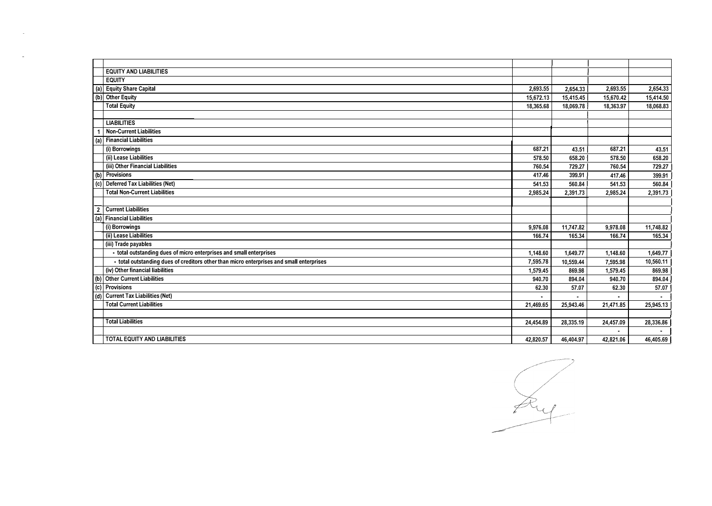|                | <b>EQUITY AND LIABILITIES</b>                                                            |           |           |           |                |
|----------------|------------------------------------------------------------------------------------------|-----------|-----------|-----------|----------------|
|                | <b>EQUITY</b>                                                                            |           |           |           |                |
|                | (a) Equity Share Capital                                                                 | 2,693.55  | 2,654.33  | 2,693.55  | 2,654.33       |
|                | (b) Other Equity                                                                         | 15,672.13 | 15,415.45 | 15,670.42 | 15,414.50      |
|                | <b>Total Equity</b>                                                                      | 18,365.68 | 18.069.78 | 18,363.97 | 18,068.83      |
|                |                                                                                          |           |           |           |                |
|                | <b>LIABILITIES</b>                                                                       |           |           |           |                |
|                | <b>Non-Current Liabilities</b>                                                           |           |           |           |                |
|                | (a) Financial Liabilities                                                                |           |           |           |                |
|                | (i) Borrowings                                                                           | 687.21    | 43.51     | 687.21    | 43.51          |
|                | (ii) Lease Liabilities                                                                   | 578.50    | 658.20    | 578.50    | 658.20         |
|                | (iii) Other Financial Liabilities                                                        | 760.54    | 729.27    | 760.54    | 729.27         |
|                | (b) Provisions                                                                           | 417.46    | 399.91    | 417.46    | 399.91         |
|                | (c) Deferred Tax Liabilities (Net)                                                       | 541.53    | 560.84    | 541.53    | 560.84         |
|                | <b>Total Non-Current Liabilities</b>                                                     | 2,985.24  | 2,391.73  | 2,985.24  | 2,391.73       |
|                |                                                                                          |           |           |           |                |
| $\overline{2}$ | <b>Current Liabilities</b>                                                               |           |           |           |                |
|                | (a) Financial Liabilities                                                                |           |           |           |                |
|                | (i) Borrowings                                                                           | 9,976.08  | 11,747.82 | 9,978.08  | 11,748.82      |
|                | (ii) Lease Liabilities                                                                   | 166.74    | 165.34    | 166.74    | 165.34         |
|                | (iii) Trade payables                                                                     |           |           |           |                |
|                | - total outstanding dues of micro enterprises and small enterprises                      | 1,148.60  | 1,649.77  | 1,148.60  | 1,649,77       |
|                | - total outstanding dues of creditors other than micro enterprises and small enterprises | 7,595.78  | 10,559.44 | 7,595.98  | 10,560.11      |
|                | (iv) Other financial liabilities                                                         | 1,579.45  | 869.98    | 1,579.45  | 869.98         |
|                | (b) Other Current Liabilities                                                            | 940.70    | 894.04    | 940.70    | 894.04         |
| $\overline{5}$ | Provisions                                                                               | 62.30     | 57.07     | 62.30     | 57.07          |
| (d)            | <b>Current Tax Liabilities (Net)</b>                                                     |           |           |           | $\blacksquare$ |
|                | <b>Total Current Liabilities</b>                                                         | 21,469.65 | 25,943.46 | 21,471.85 | 25,945.13      |
|                |                                                                                          |           |           |           |                |
|                | <b>Total Liabilities</b>                                                                 | 24,454.89 | 28,335.19 | 24,457.09 | 28,336.86      |
|                |                                                                                          |           |           |           |                |
|                | TOTAL EQUITY AND LIABILITIES                                                             | 42,820.57 | 46,404.97 | 42,821.06 | 46,405.69      |

 $\sim 10^7$ 

 $\sim$ 

Lug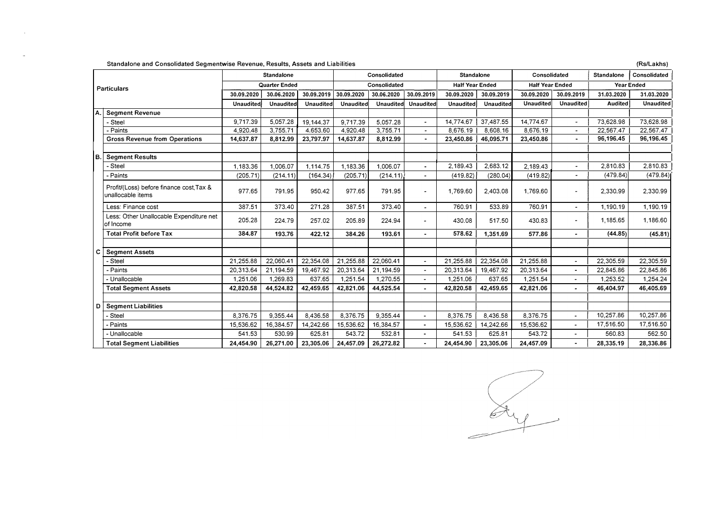Standalone and Consolidated Segmentwise Revenue, Results, Assets and Liabilities (Rs/Lakhs)

n.

 $\sim$ 

| <b>Particulars</b> |                                                               |                      | <b>Standalone</b> |                  |                  | Consolidated |                        | <b>Standalone</b> |                        | Consolidated     |                          | <b>Standalone</b> | Consolidated     |
|--------------------|---------------------------------------------------------------|----------------------|-------------------|------------------|------------------|--------------|------------------------|-------------------|------------------------|------------------|--------------------------|-------------------|------------------|
|                    |                                                               | <b>Quarter Ended</b> |                   | Consolidated     |                  |              | <b>Half Year Ended</b> |                   | <b>Half Year Ended</b> |                  | <b>Year Ended</b>        |                   |                  |
|                    |                                                               | 30.09.2020           | 30.06.2020        | 30.09.2019       | 30.09.2020       | 30.06.2020   | 30.09.2019             | 30.09.2020        | 30.09.2019             | 30.09.2020       | 30.09.2019               | 31.03.2020        | 31.03.2020       |
|                    |                                                               | <b>Unaudited</b>     | <b>Unaudited</b>  | <b>Unaudited</b> | <b>Unaudited</b> | Unaudited    | <b>Unaudited</b>       | Unaudited         | Unaudited              | <b>Unaudited</b> | <b>Unaudited</b>         | <b>Audited</b>    | <b>Unaudited</b> |
|                    | <b>Segment Revenue</b>                                        |                      |                   |                  |                  |              |                        |                   |                        |                  |                          |                   |                  |
|                    | Steel                                                         | 9,717.39             | 5,057.28          | 19,144.37        | 9,717.39         | 5,057.28     |                        | 14,774.67         | 37,487.55              | 14,774.67        | $\blacksquare$           | 73,628.98         | 73,628.98        |
|                    | - Paints                                                      | 4,920.48             | 3,755.71          | 4,653.60         | 4,920.48         | 3,755.71     |                        | 8.676.19          | 8,608.16               | 8,676.19         | $\blacksquare$           | 22,567.47         | 22,567.47        |
|                    | <b>Gross Revenue from Operations</b>                          | 14,637.87            | 8,812.99          | 23,797.97        | 14,637.87        | 8,812.99     |                        | 23,450.86         | 46,095.71              | 23,450.86        |                          | 96,196.45         | 96,196.45        |
|                    |                                                               |                      |                   |                  |                  |              |                        |                   |                        |                  |                          |                   |                  |
| IB.I               | Segment Results                                               |                      |                   |                  |                  |              |                        |                   |                        |                  |                          |                   |                  |
|                    | Steel                                                         | 1,183.36             | 1,006.07          | 1.114.75         | 1.183.36         | 1.006.07     | $\blacksquare$         | 2,189.43          | 2,683.12               | 2,189.43         | $\overline{\phantom{a}}$ | 2,810.83          | 2,810.83         |
|                    | - Paints                                                      | (205.71)             | (214.11)          | (164.34)         | (205.71)         | (214.11)     |                        | (419.82)          | (280.04)               | (419.82)         | $\blacksquare$           | (479.84)          | (479.84)         |
|                    | Profit/(Loss) before finance cost, Tax &<br>unallocable items | 977.65               | 791.95            | 950.42           | 977.65           | 791.95       |                        | 1,769.60          | 2,403.08               | 1,769.60         | $\ddot{\phantom{0}}$     | 2,330.99          | 2,330.99         |
|                    | Less: Finance cost                                            | 387.51               | 373.40            | 271.28           | 387.51           | 373.40       |                        | 760.91            | 533.89                 | 760.91           | $\overline{\phantom{a}}$ | 1,190.19          | 1,190.19         |
|                    | Less: Other Unallocable Expenditure net<br>of Income          | 205.28               | 224.79            | 257.02           | 205.89           | 224.94       |                        | 430.08            | 517.50                 | 430.83           | $\blacksquare$           | 1,185.65          | 1,186.60         |
|                    | <b>Total Profit before Tax</b>                                | 384.87               | 193.76            | 422.12           | 384.26           | 193.61       |                        | 578.62            | 1,351.69               | 577.86           |                          | (44.85)           | (45.81)          |
|                    |                                                               |                      |                   |                  |                  |              |                        |                   |                        |                  |                          |                   |                  |
| c                  | <b>Segment Assets</b>                                         |                      |                   |                  |                  |              |                        |                   |                        |                  |                          |                   |                  |
|                    | Steel                                                         | 21,255.88            | 22,060.41         | 22,354.08        | 21,255.88        | 22,060.41    | $\blacksquare$         | 21,255.88         | 22,354.08              | 21,255.88        | $\overline{\phantom{a}}$ | 22,305.59         | 22,305.59        |
|                    | - Paints                                                      | 20,313.64            | 21,194.59         | 19,467.92        | 20,313.64        | 21,194.59    |                        | 20,313.64         | 19,467.92              | 20,313.64        | $\blacksquare$           | 22,845.86         | 22,845.86        |
|                    | - Unallocable                                                 | 1,251.06             | 1.269.83          | 637.65           | 1,251.54         | 1,270.55     |                        | 1.251.06          | 637.65                 | 1,251.54         |                          | 1,253.52          | 1,254.24         |
|                    | <b>Total Segment Assets</b>                                   | 42,820.58            | 44,524.82         | 42,459.65        | 42,821.06        | 44,525.54    |                        | 42,820.58         | 42,459.65              | 42,821.06        | $\blacksquare$           | 46,404.97         | 46,405.69        |
|                    |                                                               |                      |                   |                  |                  |              |                        |                   |                        |                  |                          |                   |                  |
| D                  | <b>Segment Liabilities</b>                                    |                      |                   |                  |                  |              |                        |                   |                        |                  |                          |                   |                  |
|                    | Steel                                                         | 8,376.75             | 9.355.44          | 8,436.58         | 8.376.75         | 9.355.44     |                        | 8.376.75          | 8.436.58               | 8.376.75         | $\blacksquare$           | 10,257.86         | 10,257.86        |
|                    | - Paints                                                      | 15,536.62            | 16,384.57         | 14,242.66        | 15,536.62        | 16,384.57    |                        | 15,536.62         | 14,242.66              | 15,536.62        |                          | 17,516.50         | 17,516.50        |
|                    | - Unallocable                                                 | 541.53               | 530.99            | 625.81           | 543.72           | 532.81       |                        | 541.53            | 625.81                 | 543.72           | $\blacksquare$           | 560.83            | 562.50           |
|                    | <b>Total Segment Liabilities</b>                              | 24,454.90            | 26,271.00         | 23,305.06        | 24,457.09        | 26,272.82    |                        | 24,454.90         | 23,305.06              | 24,457.09        |                          | 28,335.19         | 28,336.86        |

 $\frac{d\mu}{d\mu}$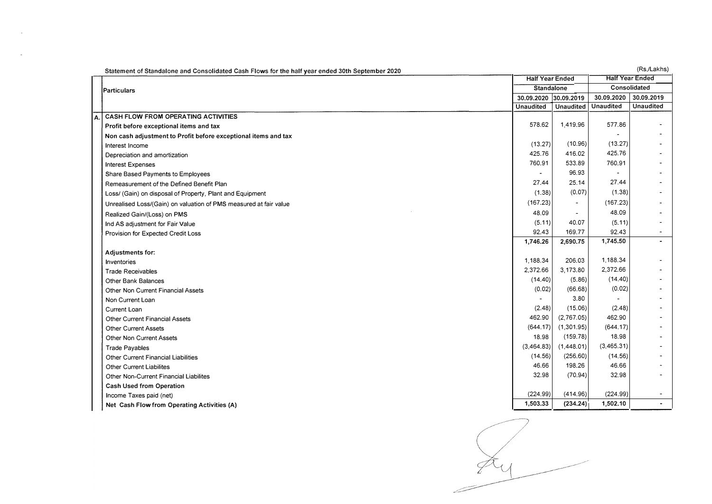|    | Statement of Standalone and Consolidated Cash Flows for the half year ended 30th September 2020 |                        |                  |                  | (Rs./Lakhs)            |
|----|-------------------------------------------------------------------------------------------------|------------------------|------------------|------------------|------------------------|
|    |                                                                                                 | <b>Half Year Ended</b> |                  |                  | <b>Half Year Ended</b> |
|    | Particulars                                                                                     | <b>Standalone</b>      |                  |                  | Consolidated           |
|    |                                                                                                 | 30.09.2020             | 30.09.2019       | 30.09.2020       | 30.09.2019             |
|    |                                                                                                 | <b>Unaudited</b>       | <b>Unaudited</b> | <b>Unaudited</b> | <b>Unaudited</b>       |
| А. | CASH FLOW FROM OPERATING ACTIVITIES                                                             |                        |                  |                  |                        |
|    | Profit before exceptional items and tax                                                         | 578.62                 | 1,419.96         | 577.86           |                        |
|    | Non cash adjustment to Profit before exceptional items and tax                                  |                        |                  |                  |                        |
|    | Interest Income                                                                                 | (13.27)                | (10.96)          | (13.27)          |                        |
|    | Depreciation and amortization                                                                   | 425.76                 | 416.02           | 425.76           |                        |
|    | <b>Interest Expenses</b>                                                                        | 760.91                 | 533.89           | 760.91           |                        |
|    | Share Based Payments to Employees                                                               |                        | 96.93            |                  |                        |
|    | Remeasurement of the Defined Benefit Plan                                                       | 27.44                  | 25.14            | 27.44            |                        |
|    | Loss/ (Gain) on disposal of Property, Plant and Equipment                                       | (1.38)                 | (0.07)           | (1.38)           |                        |
|    | Unrealised Loss/(Gain) on valuation of PMS measured at fair value                               | (167.23)               | $\blacksquare$   | (167.23)         |                        |
|    | Realized Gain/(Loss) on PMS                                                                     | 48.09                  | $\blacksquare$   | 48.09            |                        |
|    | Ind AS adjustment for Fair Value                                                                | (5.11)                 | 40.07            | (5.11)           |                        |
|    | Provision for Expected Credit Loss                                                              | 92.43                  | 169.77           | 92.43            |                        |
|    |                                                                                                 | 1,746.26               | 2,690.75         | 1,745.50         | ٠                      |
|    | <b>Adjustments for:</b>                                                                         |                        |                  |                  |                        |
|    | Inventories                                                                                     | 1,188.34               | 206.03           | 1,188.34         |                        |
|    | <b>Trade Receivables</b>                                                                        | 2.372.66               | 3,173.80         | 2,372.66         |                        |
|    | Other Bank Balances                                                                             | (14.40)                | (5.86)           | (14.40)          |                        |
|    | Other Non Current Financial Assets                                                              | (0.02)                 | (66.68)          | (0.02)           |                        |
|    | Non Current Loan                                                                                |                        | 3.80             |                  |                        |
|    | Current Loan                                                                                    | (2.48)                 | (15.06)          | (2.48)           |                        |
|    | <b>Other Current Financial Assets</b>                                                           | 462.90                 | (2,767.05)       | 462.90           |                        |
|    | <b>Other Current Assets</b>                                                                     | (644.17)               | (1,301.95)       | (644.17)         |                        |
|    | Other Non Current Assets                                                                        | 18.98                  | (159.78)         | 18.98            |                        |
|    | <b>Trade Payables</b>                                                                           | (3,464.83)             | (1,448.01)       | (3,465.31)       |                        |
|    | <b>Other Current Financial Liabilities</b>                                                      | (14.56)                | (256.60)         | (14.56)          |                        |
|    | Other Current Liabilites                                                                        | 46.66                  | 198.26           | 46.66            |                        |
|    | Other Non-Current Financial Liabilites                                                          | 32.98                  | (70.94)          | 32.98            |                        |
|    | <b>Cash Used from Operation</b>                                                                 |                        |                  |                  |                        |
|    | Income Taxes paid (net)                                                                         | (224.99)               | (414.96)         | (224.99)         | $\blacksquare$         |
|    | Net Cash Flow from Operating Activities (A)                                                     | 1,503.33               | (234.24)         | 1,502.10         |                        |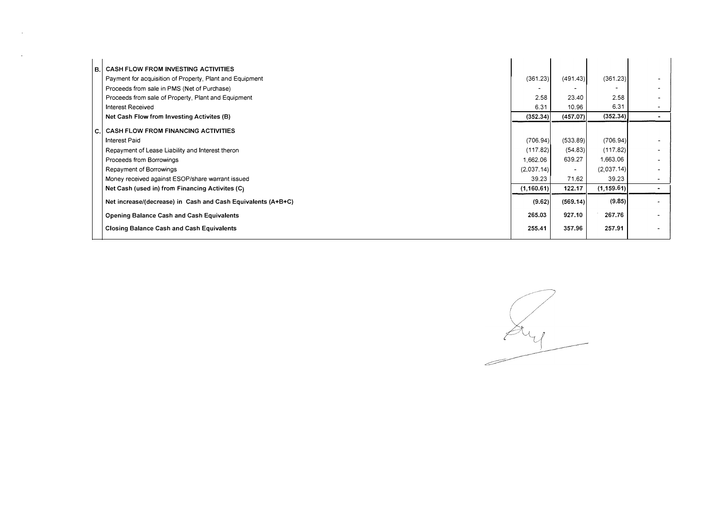|  | <b>B. CASH FLOW FROM INVESTING ACTIVITIES</b>                |             |                          |             |        |
|--|--------------------------------------------------------------|-------------|--------------------------|-------------|--------|
|  | Payment for acquisition of Property, Plant and Equipment     | (361.23)    | (491.43)                 | (361.23)    |        |
|  | Proceeds from sale in PMS (Net of Purchase)                  |             |                          |             |        |
|  | Proceeds from sale of Property, Plant and Equipment          | 2.58        | 23.40                    | 2.58        |        |
|  | <b>Interest Received</b>                                     | 6.31        | 10.96                    | 6.31        |        |
|  | Net Cash Flow from Investing Activites (B)                   | (352.34)    | (457.07)                 | (352.34)    |        |
|  | C. CASH FLOW FROM FINANCING ACTIVITIES                       |             |                          |             |        |
|  | Interest Paid                                                | (706.94)    | (533.89)                 | (706.94)    |        |
|  | Repayment of Lease Liability and Interest theron             | (117.82)    | (54.83)                  | (117.82)    |        |
|  | Proceeds from Borrowings                                     | 1,662.06    | 639.27                   | 1,663.06    |        |
|  | Repayment of Borrowings                                      | (2,037.14)  | $\overline{\phantom{a}}$ | (2,037.14)  |        |
|  | Money received against ESOP/share warrant issued             | 39.23       | 71.62                    | 39.23       | $\sim$ |
|  | Net Cash (used in) from Financing Activites (C)              | (1, 160.61) | 122.17                   | (1, 159.61) |        |
|  | Net increase/(decrease) in Cash and Cash Equivalents (A+B+C) | (9.62)      | (569.14)                 | (9.85)      |        |
|  | <b>Opening Balance Cash and Cash Equivalents</b>             | 265.03      | 927.10                   | 267.76      |        |
|  | <b>Closing Balance Cash and Cash Equivalents</b>             | 255.41      | 357.96                   | 257.91      |        |
|  |                                                              |             |                          |             |        |

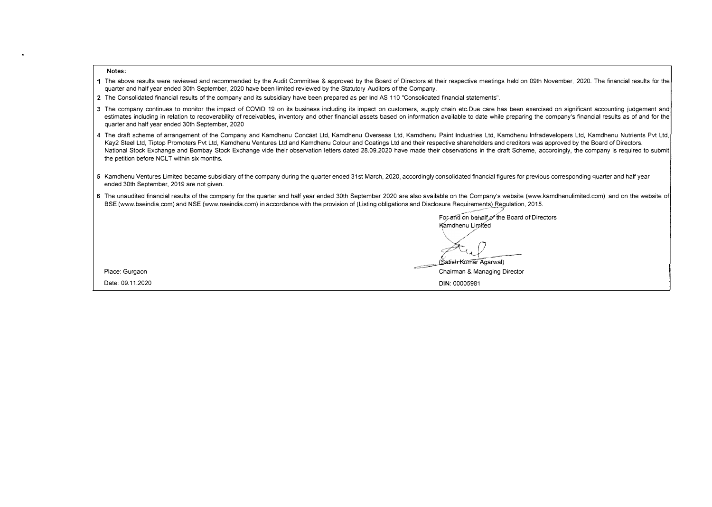**Notes:** 

|                  | quarter and half year ended 30th September, 2020 have been limited reviewed by the Statutory Auditors of the Company.                                                                                                                                                                                                                                                                                                                                                                                                                                                                                                                           |
|------------------|-------------------------------------------------------------------------------------------------------------------------------------------------------------------------------------------------------------------------------------------------------------------------------------------------------------------------------------------------------------------------------------------------------------------------------------------------------------------------------------------------------------------------------------------------------------------------------------------------------------------------------------------------|
|                  | 2 The Consolidated financial results of the company and its subsidiary have been prepared as per Ind AS 110 "Consolidated financial statements".                                                                                                                                                                                                                                                                                                                                                                                                                                                                                                |
|                  | 3 The company continues to monitor the impact of COVID 19 on its business including its impact on customers, supply chain etc.Due care has been exercised on significant accounting judgement and<br>estimates including in relation to recoverability of receivables, inventory and other financial assets based on information available to date while preparing the company's financial results as of and for the<br>quarter and half year ended 30th September, 2020                                                                                                                                                                        |
|                  | 4 The draft scheme of arrangement of the Company and Kamdhenu Concast Ltd, Kamdhenu Overseas Ltd, Kamdhenu Paint Industries Ltd, Kamdhenu Infradevelopers Ltd, Kamdhenu Nutrients Pvt Ltd,<br>Kay2 Steel Ltd, Tiptop Promoters Pvt Ltd, Kamdhenu Ventures Ltd and Kamdhenu Colour and Coatings Ltd and their respective shareholders and creditors was approved by the Board of Directors.<br>National Stock Exchange and Bombay Stock Exchange vide their observation letters dated 28.09.2020 have made their observations in the draft Scheme, accordingly, the company is required to submit<br>the petition before NCLT within six months. |
|                  | 5 Kamdhenu Ventures Limited became subsidiary of the company during the quarter ended 31st March, 2020, accordingly consolidated financial figures for previous corresponding quarter and half year<br>ended 30th September, 2019 are not given.                                                                                                                                                                                                                                                                                                                                                                                                |
|                  | 6 The unaudited financial results of the company for the quarter and half year ended 30th September 2020 are also available on the Company's website (www.kamdhenulimited.com) and on the website of<br>BSE (www.bseindia.com) and NSE (www.nseindia.com) in accordance with the provision of (Listing obligations and Disclosure Requirements) Regulation, 2015.                                                                                                                                                                                                                                                                               |
|                  | For and on behalf of the Board of Directors                                                                                                                                                                                                                                                                                                                                                                                                                                                                                                                                                                                                     |
|                  | Kamdhenu Limited                                                                                                                                                                                                                                                                                                                                                                                                                                                                                                                                                                                                                                |
|                  |                                                                                                                                                                                                                                                                                                                                                                                                                                                                                                                                                                                                                                                 |
|                  | (Satish Kumar Agarwal)                                                                                                                                                                                                                                                                                                                                                                                                                                                                                                                                                                                                                          |
| Place: Gurgaon   | Chairman & Managing Director                                                                                                                                                                                                                                                                                                                                                                                                                                                                                                                                                                                                                    |
| Date: 09.11.2020 | DIN: 00005981                                                                                                                                                                                                                                                                                                                                                                                                                                                                                                                                                                                                                                   |

1 The above results were reviewed and recommended by the Audit Committee & approved by the Board of Directors at their respective meetings held on 09th November, 2020. The financial results for the